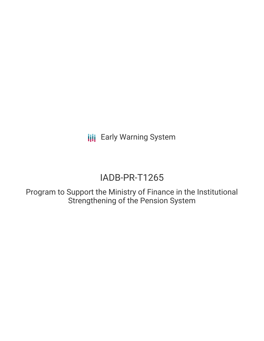**III** Early Warning System

# IADB-PR-T1265

Program to Support the Ministry of Finance in the Institutional Strengthening of the Pension System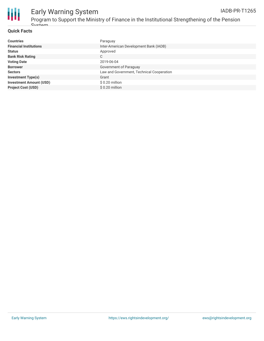

#### Early Warning System Program to Support the Ministry of Finance in the Institutional Strengthening of the Pension IADB-PR-T1265

### **Quick Facts**

System

| <b>Countries</b>               | Paraguay                                  |
|--------------------------------|-------------------------------------------|
| <b>Financial Institutions</b>  | Inter-American Development Bank (IADB)    |
| <b>Status</b>                  | Approved                                  |
| <b>Bank Risk Rating</b>        | C                                         |
| <b>Voting Date</b>             | 2019-06-04                                |
| <b>Borrower</b>                | Government of Paraguay                    |
| <b>Sectors</b>                 | Law and Government, Technical Cooperation |
| <b>Investment Type(s)</b>      | Grant                                     |
| <b>Investment Amount (USD)</b> | $$0.20$ million                           |
| <b>Project Cost (USD)</b>      | $$0.20$ million                           |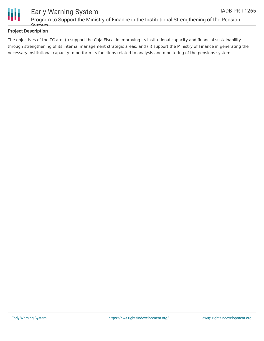

# **Project Description**

The objectives of the TC are: (i) support the Caja Fiscal in improving its institutional capacity and financial sustainability through strengthening of its internal management strategic areas; and (ii) support the Ministry of Finance in generating the necessary institutional capacity to perform its functions related to analysis and monitoring of the pensions system.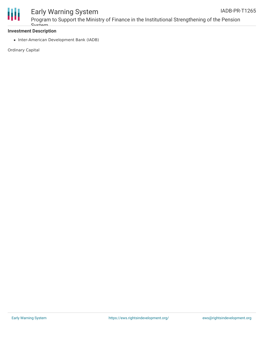

# Early Warning System

Program to Support the Ministry of Finance in the Institutional Strengthening of the Pension *<u>Cuctam</u>* 

### **Investment Description**

• Inter-American Development Bank (IADB)

Ordinary Capital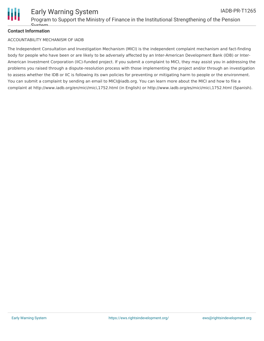

# **Contact Information**

### ACCOUNTABILITY MECHANISM OF IADB

The Independent Consultation and Investigation Mechanism (MICI) is the independent complaint mechanism and fact-finding body for people who have been or are likely to be adversely affected by an Inter-American Development Bank (IDB) or Inter-American Investment Corporation (IIC)-funded project. If you submit a complaint to MICI, they may assist you in addressing the problems you raised through a dispute-resolution process with those implementing the project and/or through an investigation to assess whether the IDB or IIC is following its own policies for preventing or mitigating harm to people or the environment. You can submit a complaint by sending an email to MICI@iadb.org. You can learn more about the MICI and how to file a complaint at http://www.iadb.org/en/mici/mici,1752.html (in English) or http://www.iadb.org/es/mici/mici,1752.html (Spanish).